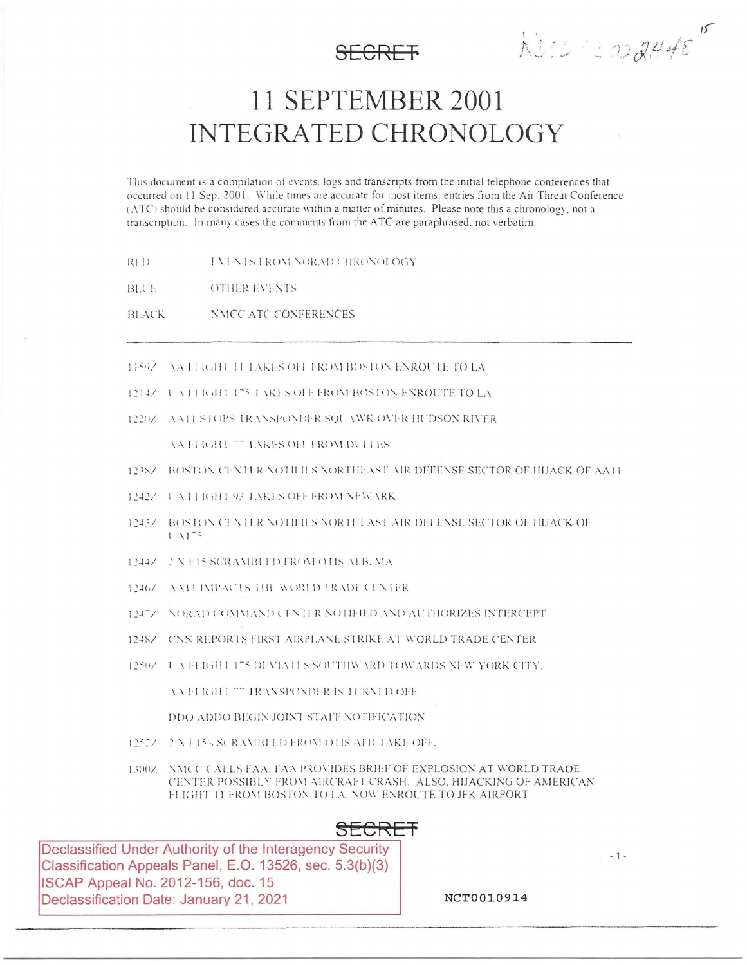$k$ U $\leq$  code de  $e^{rt}$ 

# 11 SEPTEMBER 2001 **INTEGRATED CHRONOLOGY**

This document is a compilation of events, logs and transcripts from the initial telephone conferences that occurred on 11 Sep. 2001. While times are accurate for most items, entries from the Air Threat Conference (ATC) should be considered accurate within a matter of minutes. Please note this a chronology, not a transcription. In many cases the comments from the ATC are paraphrased, not verbatim.

- $R11$ **INEXISTROM NORAD CHRONOLOGY**
- BLUE **OTHER EVENTS**
- NMCC ATC CONFERENCES **BLACK**
- 11592 VATI IGHT 11 TAKES OFF FROM BOSTON ENROUTE TO LA
- 12147 LATI IGHT 175 LAKES OFF FROM BOSTON ENROUTE TO LA
- 1220Z AA11 STOPS IRANSPONDER SQUAWK OVER HUDSON RIVER

**YA FLIGHT <sup>77</sup> LAKES OFF FROM DUITES** 

- 1238/ BOSTON CENTER NOTIFILS NORTHEAST AIR DEFENSE SECTOR OF HIJACK OF AA11
- 1242Z UATTIGHT 93 TAKES OFF FROM NEWARK
- 12437 BOSTON CENTER NOTIFIES NORTHEAST AIR DEFENSE SECTOR OF HIJACK OF  $1 \mathrm{Al}^{-1}$
- 12447 2 N F15 SCRAMBI ED FROM OTIS AFB. MA
- 1246/ A MI IMPACTS HIE WORLD IRADE CENTER
- 12472 NORAD COMMAND CENTER NOTIFIED AND AUTHORIZES INTERCEPT
- 1248Z CNN REPORTS FIRST AIRPLANE STRIKE AT WORLD TRADE CENTER
- 12507 L A FLIGHT 175 DEVIATES SOUTHWARD TOWARDS NEW YORK CITY.

AA ELIGHT "" TRANSPONDER IS 1URNED OFF

DDO ADDO BEGIN JOINT STAFF NOTIFICATION

- 1252Z 2 X L15's SCRAMBI ED FROM OTIS AFB TAKE OFF.
- 1300Z NMCC CALLS FAA: FAA PROVIDES BRIEF OF EXPLOSION AT WORLD TRADE CENTER POSSIBLY FROM AIRCRAFT CRASH. ALSO, HIJACKING OF AMERICAN FLIGHT 11 FROM BOSTON TO LA, NOW ENROUTE TO JFK AIRPORT

SECRET

Declassified Under Authority of the Interagency Security Classification Appeals Panel, E.O. 13526, sec. 5.3(b)(3) ISCAP Appeal No. 2012-156, doc. 15 Declassification Date: January 21, 2021

NCT0010914

 $-1-$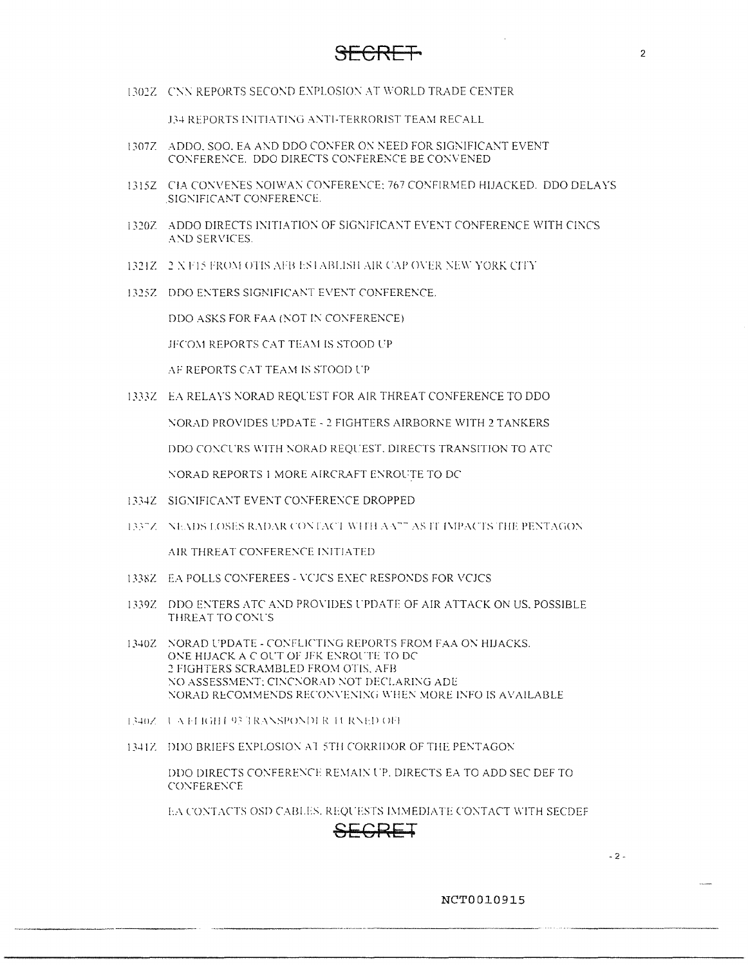1302Z CNN REPORTS SECOND EXPLOSION AT WORLD TRADE CENTER

**J34 REPORTS INITIATING ANTI-TERRORIST TEAM RECALL** 

- 1307Z ADDO, SOO, EA AND DDO CONFER ON NEED FOR SIGNIFICANT EVENT CONFERENCE. DDO DIRECTS CONFERENCE BE CONVENED
- 1315Z CIA CONVENES NOIWAN CONFERENCE: 767 CONFIRMED HIJACKED. DDO DELAYS SIGNIFICANT CONFERENCE.
- 1320Z ADDO DIRECTS INITIATION OF SIGNIFICANT EVENT CONFERENCE WITH CINCS AND SERVICES.
- 1321Z 2 N F15 FROM OTIS AFB ESTABLISH AIR CAP OVER NEW YORK CITY
- 1325Z DDO ENTERS SIGNIFICANT EVENT CONFERENCE.

DDO ASKS FOR FAA (NOT IN CONFERENCE)

JFCOM REPORTS CAT TEAM IS STOOD UP

AF REPORTS CAT TEAM IS STOOD UP

1333Z EA RELAYS NORAD REQUEST FOR AIR THREAT CONFERENCE TO DDO

NORAD PROVIDES UPDATE - 2 FIGHTERS AIRBORNE WITH 2 TANKERS

DDO CONCURS WITH NORAD REQUEST, DIRECTS TRANSITION TO ATC

NORAD REPORTS 1 MORE AIRCRAFT ENROUTE TO DC

- 1334Z SIGNIFICANT EVENT CONFERENCE DROPPED
- 1337Z NEADS LOSES RADAR CONTACT WITH AA<sup>22</sup> AS IT IMPACTS THE PENTAGON

AIR THREAT CONFERENCE INITIATED

- 1338Z EA POLLS CONFEREES VCJCS EXEC RESPONDS FOR VCJCS
- 1339Z DDO ENTERS ATC AND PROVIDES UPDATE OF AIR ATTACK ON US, POSSIBLE THREAT TO CONUS
- 1340Z NORAD UPDATE CONFLICTING REPORTS FROM FAA ON HIJACKS. ONE HIJACK A C OUT OF JFK ENROUTE TO DC 2 FIGHTERS SCRAMBLED FROM OTIS, AFB NO ASSESSMENT; CINCNORAD NOT DECLARING ADE NORAD RECOMMENDS RECONVENING WHEN MORE INFO IS AVAILABLE
- 1340Z UAELGHT 93 TRANSPONDER TURNED OFF
- 1341Z DDO BRIEFS EXPLOSION AT 5TH CORRIDOR OF THE PENTAGON

DDO DIRECTS CONFERENCE REMAIN UP. DIRECTS EA TO ADD SEC DEF TO **CONFERENCE** 

EA CONTACTS OSD CABLES, REQUESTS IMMEDIATE CONTACT WITH SECDEF

### SECRET

 $-2-$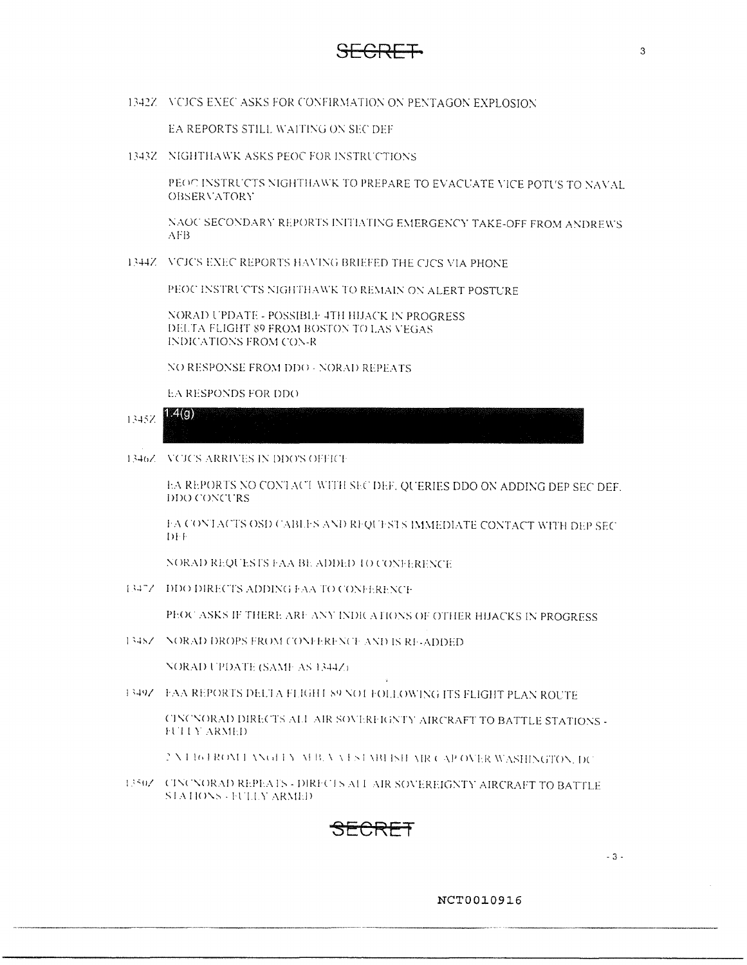**SECRET** <sup>3</sup>

1342Z VCJCS EXEC ASKS FOR CONFIRMATION ON PENTAGON EXPLOSION

EA REPORTS STILL WAITING ON SEC DEF

1343Z NIGHTHAWK ASKS PEOC FOR INSTRUCTIONS

PEOC INSTRUCTS NIGHTHAWK TO PREPARE TO EVACUATE VICE POTUS TO NAVAL. OBSERVATORY

NAOC SECONDARY REPORTS INITIATING EMERGENCY TAKE-OFF FROM ANDREWS .,\FB

1344Z VCJCS EXEC REPORTS HAVING BRIEFED THE CJCS VIA PHONE

PEOC INSTRUCTS NIGHTHAWK TO REMAIN ON ALERT POSTURE

NORAD UPDATE - POSSIBLE 4TH HIJACK IN PROGRESS DELTA FLIGHT 89 FROM BOSTON TO LAS VEGAS INDICATIONS FROM CON-R

NO RESPONSE FROM DDO - NORAD REPEATS

EA RESPONDS FOR DDO



1346Z - VCICS ARRIVES IN DDO'S OFFICE

EA REPORTS NO CONTACT WITH SHC DEF. QUERIES DDO ON ADDING DEP SEC DEF. DDO CONCURS

I: A CONTACTS OSD CABLES AND REQUESTS IMMEDIATE CONTACT WITH DEP SEC  $D \cdot F$ 

NORAD REQUESTS FAA BL ADDED TO CONFERENCE

1347Z DDO DIRECTS ADDING FAA TO CONFERENCE

PEOC ASKS IF THERE ARE ANY INDICATIONS OF OTHER HIJACKS IN PROGRESS

1348Z -- NORAD DROPS FROM CONFERENCE AND IS RE-ADDED.

NORAD UPDATE (SAME AS 1344Z).

I349Z FAA REPORTS DELTA FLIGHT 89 NOT FOLLOWING ITS FLIGHT PLAN ROUTE

CINCNORAD DIRECTS ALL AIR SOVERFIGNTY AIRCRAFT TO BATTLE STATIONS -**FUITY ARMED** 

: N. HOTROME ANGELY AFB, VATSTABLISH AIR CAP OVER WASHINGTON, DC

1350Z GINCNORAD REPEATS - DIRECTS ALL AIR SOVEREIGNTY AIRCRAFT TO BATTLE STATIONS - FULLY ARMED



- 3 -

**NCT00109J.6**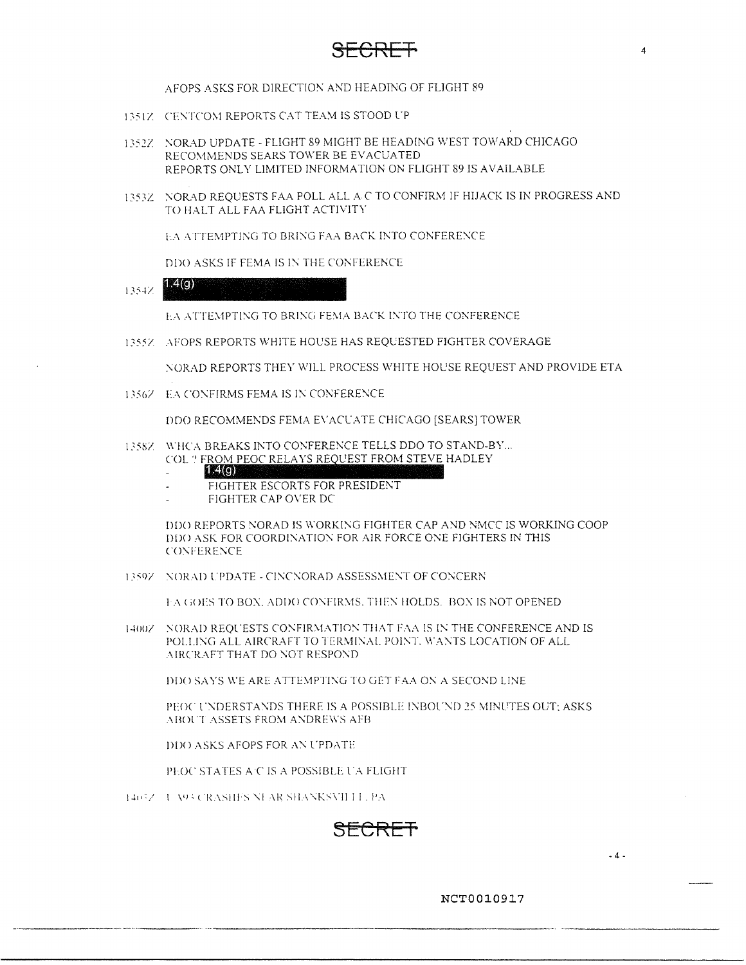## **SECRET** <sup>4</sup>

AFOPS ASKS FOR DIRECTION AND HEADING OF FLIGHT 89

- 1351Z CENTCOM REPORTS CAT TEAM IS STOOD UP
- I*]521* '-:ORAD UPDATE FLIGHT 89 MIGHT BE HEADING WEST TOWARD CHICAGO RECOMMENDS SEARS TOWER BE EVACUATED REPORTS ONLY LIMITED INFORMATION ON FLIGHT 89 IS AVAILABLE
- 1353Z NORAD REQUESTS FAA POLL ALL AC TO CONFIRM IF HIJACK IS IN PROGRESS AND TO HALT ALL FAA FLIGHT ACTIVITY

LA ATTEMPTING TO BRING FAA BACK INTO CONFERENCE

DDO ASKS IF FEMA IS IN THE CONFERENCE

**1.4(g)**  1354Z

**I:A ATTEMPTING TO BRING FEMA BACK INTO THE CONFERENCE** 

1355Z AFOPS REPORTS WHITE HOUSE HAS REQUESTED FIGHTER COVERAGE

NORAD REPORTS THEY WILL PROCESS WHITE HOUSE REQUEST AND PROVIDE ETA

1356Z EA CONFIRMS FEMA IS IN CONFERENCE

DDO RECOMMENDS FEMA EVACUATE CHICAGO [SEARS] TOWER

- 1358Z WHCA BREAKS INTO CONFERENCE TELLS DDO TO STAND-BY... COL ? FROM PEOC RELAYS REQUEST FROM STEVE HADLEY
	- FIGHTER ESCORTS FOR PRESIDENT
	- FIGHTER CAP OVER DC

DDO REPORTS NORAD IS WORKING FIGHTER CAP AND NMCC IS WORKING COOP DDO ASK FOR COORDINATION FOR AIR FORCE ONE FIGHTERS IN THIS CONFERENCE

13597 NORAD UPDATE - CINCNORAD ASSESSMENT OF CONCERN

I.-A GOES TO BOX, ADDO CONFIRMS. THEN HOLDS. BON IS NOT OPENED

1400Z NORAD REQUESTS CONFIRMATION THAT FAA IS IN THE CONFERENCE AND IS POLLING ALL AIRCRAFT TO TERMINAL POINT. WANTS LOCATION OF ALL  $\Lambda$ IRCRAFT THAT DO NOT RESPOND

DDO SAYS WE ARE ATTEMPTING TO GET FAA ON A SECOND LINE

PEOC UNDERSTANDS THERE IS A POSSIBLE INBOUND 25 MINUTES OUT: ASKS ABOUT ASSETS FROM ANDREWS AFB

DDO ASKS AFOPS FOR AN UPDATE

PEOC STATES A C IS A POSSIBLE UA FLIGHT

1403Z U A93 CRASHES NEAR SHANKSVILLE, PA



**NCT0010917** 

 $-4 -$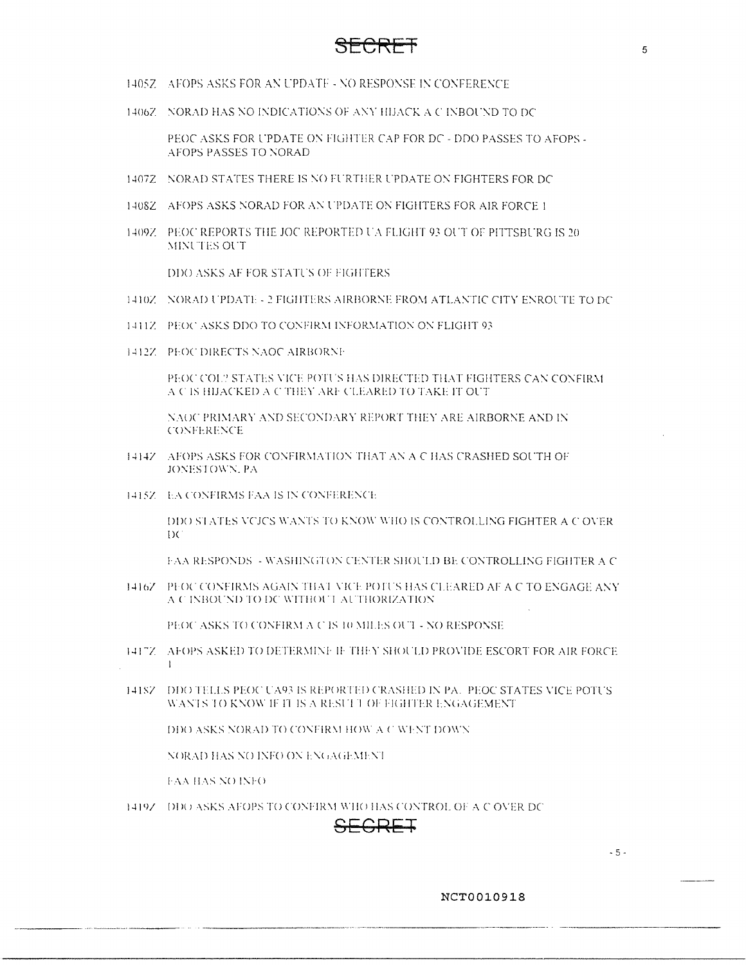- 1405Z AFOPS ASKS FOR AN UPDATE NO RESPONSE IN CONFERENCE
- 1406Z NORAD HAS NO INDICATIONS OF ANY HIJACK A C INBOUND TO DC

PEOC ASKS FOR UPDATE ON FIGHTER CAP FOR DC - DDO PASSES TO AFOPS -AFOPS PASSES TO NORAD

- 1407Z NORAD STATES THERE IS NO FURTHER UPDATE ON FIGHTERS FOR DC
- 1408Z AFOPS ASKS NORAD FOR AN UPDATE ON FIGHTERS FOR AIR FORCE 1
- 1409Z PEOC REPORTS THE JOC REPORTED UA FLIGHT 93 OUT OF PITTSBURG IS 20 MINUTES OUT

DDO ASKS AF FOR STATUS OF FIGHTERS

- 1410Z NORAD UPDATE 2 FIGHTERS AIRBORNE FROM ATLANTIC CITY ENROUTE TO DC
- 1411Z PEOC ASKS DDO TO CONFIRM INFORMATION ON FLIGHT 93
- 1412Z PEOC DIRECTS NAOC AIRBORNE

PEOC COL? STATES VICE POTUS HAS DIRECTED THAT FIGHTERS CAN CONFIRM A C IS HIJACKED A C THEY ARE CLEARED TO TAKE IT OUT

NAOC PRIMARY AND SECONDARY REPORT THEY ARE AIRBORNE AND IN **CONFERENCE** 

- 1414Z AFOPS ASKS FOR CONFIRMATION THAT AN A C HAS CRASHED SOUTH OF JONESTOWN, PA
- 1415Z EA CONFIRMS FAA IS IN CONFERENCE

DDO STATES VCJCS WANTS TO KNOW WHO IS CONTROLLING FIGHTER A C OVER  $D$ 

FAA RESPONDS - WASHINGTON CENTER SHOULD BE CONTROLLING FIGHTER A C

1416Z PFOC CONFIRMS AGAIN THAT VICE POTUS HAS CLEARED AF A C TO ENGAGE ANY A C INBOUND TO DC WITHOUT AUTHORIZATION

PEOC ASKS TO CONFIRM A C IS 10 MILES OUT - NO RESPONSE

- 141"Z AFOPS ASKED TO DETERMINE IF THEY SHOULD PROVIDE ESCORT FOR AIR FORCE
- 14187 DDO TELLS PEOC UA93 IS REPORTED CRASHED IN PA. PEOC STATES VICE POTUS WANTS TO KNOW IF IT IS A RESULT OF FIGHTER ENGAGEMENT.

DDO ASKS NORAD TO CONFIRM HOW A C WENT DOWN

NORAD HAS NO INFO ON ENGAGEMENT

**FAA HAS NO INFO** 

 $\mathbf{I}$ 

1419Z DDO ASKS AFOPS TO CONFIRM WHO HAS CONTROL OF A C OVER DC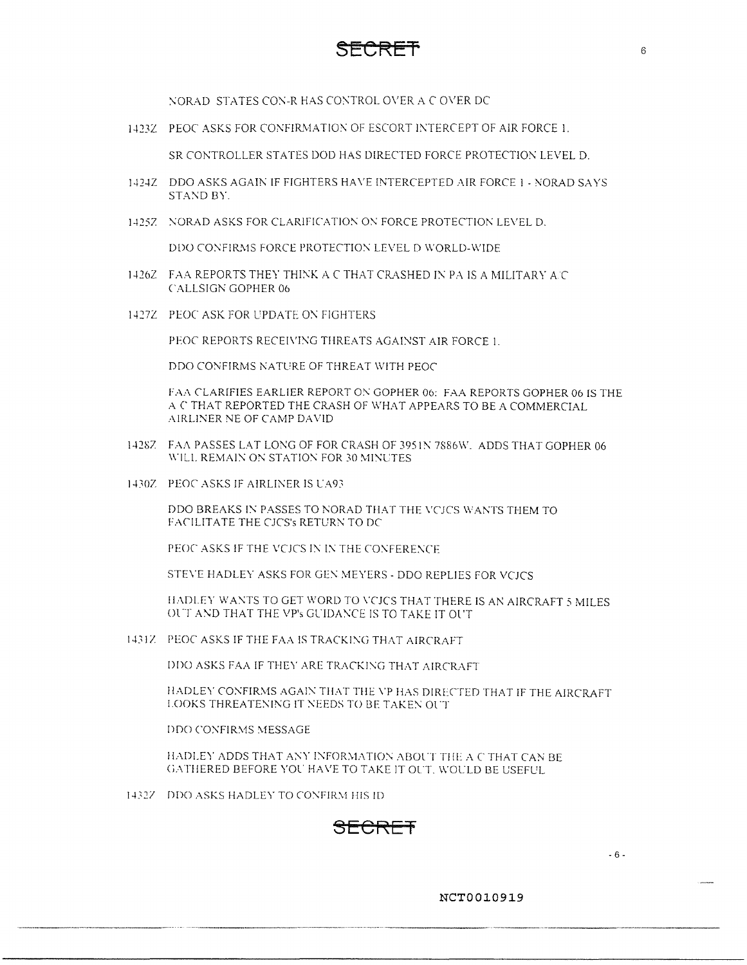

NORAD STATES CON-R HAS CONTROL OVER A C OVER DC

1423Z PEOC ASKS FOR CONFIRMATION OF ESCORT INTERCEPT OF AIR FORCE 1.

SR CONTROLLER STATES DOD HAS DIRECTED FORCE PROTECTION LEVEL D.

- 1424Z DDO ASKS AGAIN IF FIGHTERS HAVE INTERCEPTED AIR FORCE 1 NORAD SAYS STAND BY.
- 1425Z : NORAD ASKS FOR CLARIFICATION ON FORCE PROTECTION LEVEL D.

DDO CONFIRMS FORCE PROTECTION LEVEL D WORLD-WIDE

- 1426Z FAA REPORTS THEY THINK A C THAT CRASHED IN PA IS A MILITARY A C CALLSIGN GOPHER 06
- l-l27Z PEOC ASK FOR L'PDATE 0\ FIGHTERS

PEOC REPORTS RECEIVING THREATS AGAINST AIR FORCE 1

DDO CONFIRMS NATURE OF THREAT WITH PEOC

FAA CLARIFIES EARLIER REPORT ON GOPHER 06: FAA REPORTS GOPHER 06 IS THE A C THAT REPORTED THE CRASH OF WHAT APPEARS TO BE A COMMERCIAL AIRLINER NE OF CAMP DAVID

- 1428Z FAA PASSES LAT LONG OF FOR CRASH OF 3951N 7886W. ADDS THAT GOPHER 06 WILL REMAIN ON STATION FOR 30 MINUTES.
- 1430Z PEOC ASKS IF AIRLINER IS UA93

DDO BREAKS IN PASSES TO NORAD THAT THE VCJCS WANTS THEM TO FACILITATE THE CJCS's RETURN TO DC

PEOC ASKS IF THE VCJCS IN IN THE CONFERENCE

STEVE HADLEY ASKS FOR GEN MEYERS - DDO REPLIES FOR VCJCS

HADLEY WANTS TO GET WORD TO VCJCS THAT THERE IS AN AIRCRAFT 5 MILES OUT AND THAT THE VP's GUIDANCE IS TO TAKE IT OUT

1431Z PEOC ASKS IF THE FAA IS TRACKING THAT AIRCRAFT

DDO ASKS FAA IF THEY ARE TRACKING THAT AIRCRAFT

HADLEY CONFIRMS AGAIN THAT THE VP HAS DIRECTED THAT IF THE AIRCRAFT LOOKS THREATENING IT NEEDS TO BE TAKEN OUT

DDO CONFIRMS MESSAGE

HADLEY ADDS THAT ANY INFORMATION ABOUT THE A C THAT CAN BE GATHERED BEFORE YOU HAVE TO TAKE IT OUT. WOULD BE USEFUL.

1432Z DDO ASKS HADLEY TO CONFIRM HIS ID

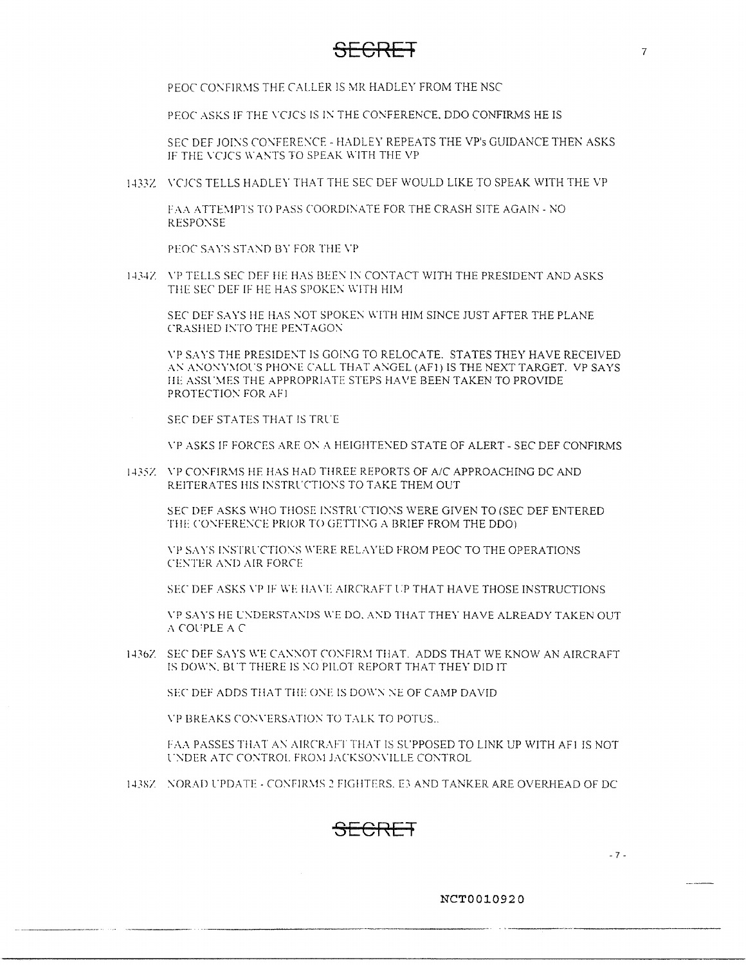### **SECRET** 7

PEOC CONFIRMS THE CALLER IS MR HADLEY FROM THE NSC

PEOC ASKS IF THE VCJCS IS IN THE CONFERENCE, DDO CONFIRMS HE IS

SEC DEF JOINS CONFERENCE - HADLEY REPEATS THE VP's GUIDANCE THEN ASKS IF THE VCJCS WANTS TO SPEAK WITH THE VP

1433Z VCJCS TELLS HADLEY THAT THE SEC DEF WOULD LIKE TO SPEAK WITH THE VP

FAA ATTEMPTS TO PASS COORDINATE FOR THE CRASH SITE AGAIN - NO RESPONSE

PEOC SAYS STAND BY FOR THE VP.

1434Z VP TELLS SEC DEF HE HAS BEEN IN CONTACT WITH THE PRESIDENT AND ASKS THE SEC DEF IF HE HAS SPOKEN WITH HIM

SEC DEF SAYS HE HAS NOT SPOKEN WITH HIM SINCE JUST AFTER THE PLANE CRASHED INTO THE PENTAGON

\'P SAYS THE PRESIDE\T IS GOI\G TO RELOCATE. STATES THEY HAVE RECEIVED AN ANONYMOUS PHONE CALL THAT ANGEL (AF1) IS THE NEXT TARGET. VP SAYS 11 HE ASSUMES THE APPROPRIATE STEPS HAVE BEEN TAKEN TO PROVIDE PROTECTION FOR AFI.

SEC DEF STATES THAT IS TRUE.

\·p ASKS IF FORCES ARE O\' A HEIGHTE:\ED STATE OF ALERT- SEC DEF CONFIR!v1S

1435Z VP CONFIRMS HE HAS HAD THREE REPORTS OF A/C APPROACHING DC AND REITERATES HIS INSTRUCTIONS TO TAKE THEM OUT

SEC DEF ASKS WHO THOSE INSTRUCTIONS WERE GIVEN TO (SEC DEF ENTERED THE CONFERENCE PRIOR TO GETTING A BRIEF FROM THE DDO).

\"I' SAYS !\STRl.CT!O'\S \\.ERF REL:\ YED FROM PEOC TO THE OPERATIONS CENTER AND AIR FORCE

SEC DEF ASKS VP IF WE HAVE AIRCRAFT UP THAT HAVE THOSE INSTRUCTIONS

\'P SAYS HE L.:\DERSTA>,:DS \\'E DO. A:---:D THAT THEY HAYE ALREADY TAKEN OUT *:\* COL 'PLE A C

1436Z SEC DEF SAYS WE CANNOT CONFIRM THAT. ADDS THAT WE KNOW AN AIRCRAFT IS DOWN. BUT THERE IS NO PILOT REPORT THAT THEY DID IT

SEC DEF ADDS THAT THE ONE IS DOWN NE OF CAMP DAVID

**VP BREAKS CONVERSATION TO TALK TO POTUS...** 

FAA PASSES THAT AN AIRCRAFT THAT IS SUPPOSED TO LINK UP WITH AF1 IS NOT UNDER ATC CONTROL FROM JACKSONVILLE CONTROL

143SZ : NORAD UPDATE - CONFIRMS 2 FIGHTERS. E3 AND TANKER ARE OVERHEAD OF DC.



**NCT0010920** 

- 7 -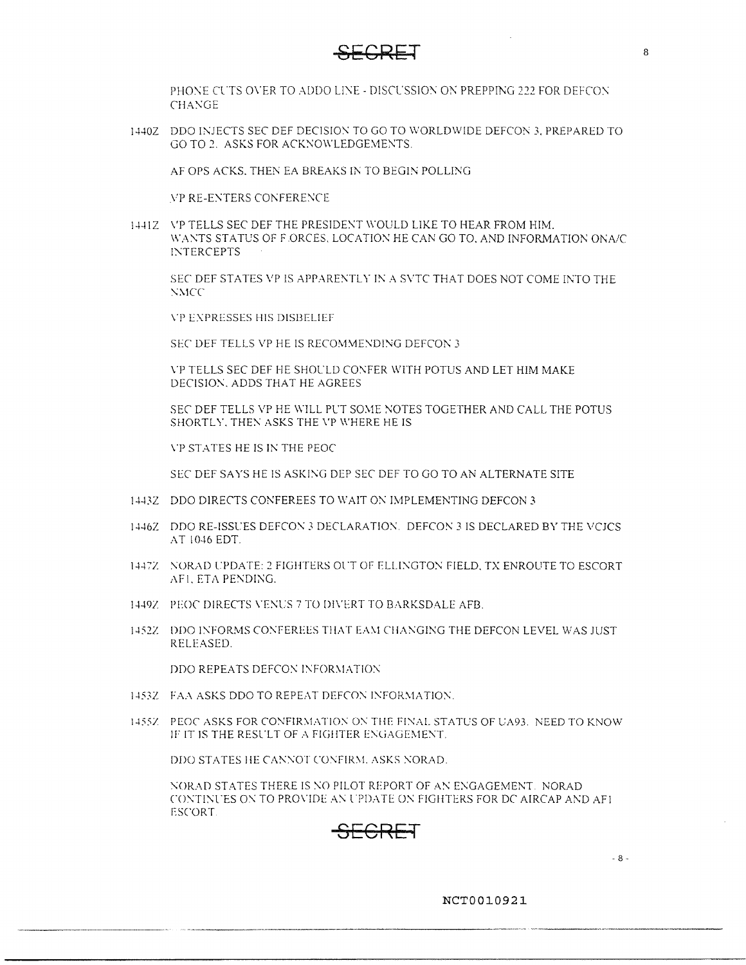

PHONE CUTS OVER TO ADDO LINE - DISCUSSION ON PREPPING 222 FOR DEFCON CHANGE

1440Z DDO INJECTS SEC DEF DECISION TO GO TO WORLDWIDE DEFCON 3. PREPARED TO GO TO 2. ASKS FOR ACKNOWLEDGEMENTS.

AF OPS ACKS. THEN EA BREAKS IN TO BEGIN POLLING

VP RE-ENTERS CONFERENCE

1441Z VP TELLS SEC DEF THE PRESIDENT WOULD LIKE TO HEAR FROM HIM. WANTS STATUS OF F.ORCES, LOCATION HE CAN GO TO, AND INFORMATION ONA/C INTERCEPTS

SEC DEF STATES VP IS APPARENTLY IN A SVTC THAT DOES NOT COME INTO THE  $NMCC$ 

**VP EXPRESSES HIS DISBELIEF** 

SEC DEF TELLS VP HE IS RECOMMENDING DEFCON 3

\'P TELLS SEC DEF HE SHOL'LD CO?\'FER WITH POTUS AND LET HIM MAKE DECISION. ADDS THAT HE AGREES

SEC DEF TELLS VP HE WILL PUT SOME NOTES TOGETHER AND CALL THE POTUS SHORTLY, THEN ASKS THE VP WHERE HE IS

\"P STATES HE IS IN THE PEOC

SEC DEF SAYS HE IS ASKING DEP SEC DEF TO GO TO AN ALTERNATE SITE

- 14432 DDO DIRECTS CONFEREES TO WAIT ON IMPLEMENTING DEFCON 3
- 1446Z DDO RE-ISSUES DEFCON 3 DECLARATION. DEFCON 3 IS DECLARED BY THE VCJCS AT 1046 EDT
- 1447Z NORAD UPDATE: 2 FIGHTERS OUT OF ELLINGTON FIELD, TX ENROUTE TO ESCORT AF1, ETA PENDING.
- 1449Z PEOC DIRECTS VENUS 7 TO DIVERT TO BARKSDALE AFB.
- 1452Z DDO INFORMS CONFEREES THAT EAM CHANGING THE DEFCON LEVEL WAS JUST RELEASED.

DDO REPEATS DEFCON INFORMATION

- 1453Z FAA ASKS DDO TO REPEAT DEFCON INFORMATION.
- 1455Z PEOC ASKS FOR CONFIRMATION ON THE FINAL STATUS OF UA93. NEED TO KNOW IF IT IS THE RESULT OF A FIGHTER ENGAGEMENT.

DDO STATES HE CANNOT CONFIRM. ASKS NORAD.

\'ORAD STATES THERE IS '.\O PILOT REPORT OF A:\ E:-.:GAGEMENT. NORAD CONTINUES ON TO PROVIDE AN UPDATE ON FIGHTERS FOR DC AIRCAP AND AF1 ESCORT

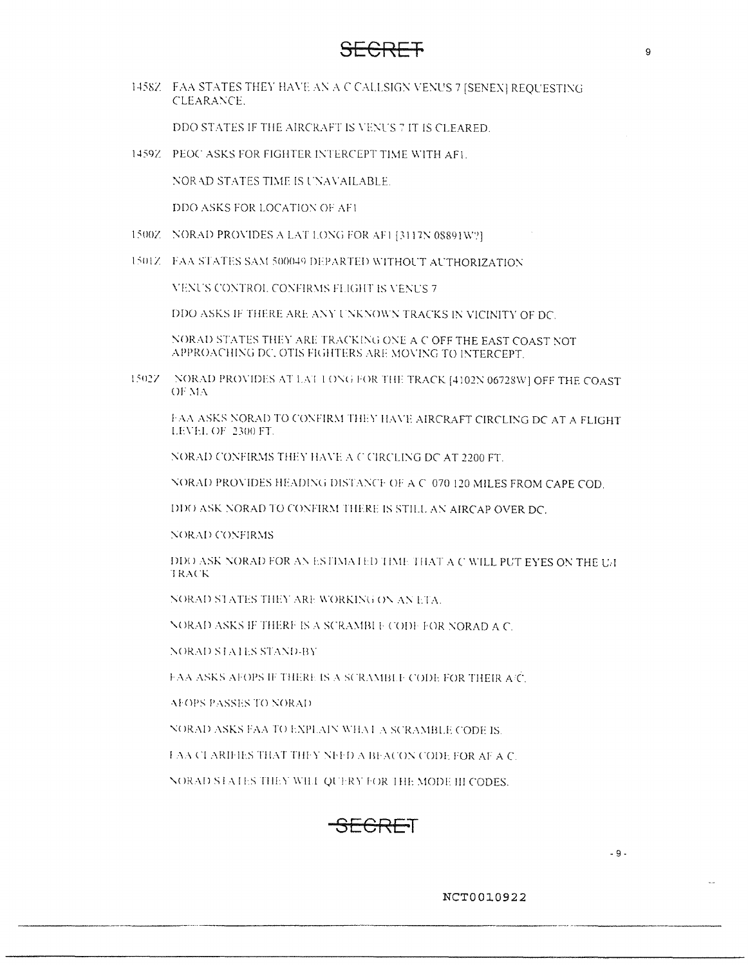### $\overline{\overline{\bigcirc}}$   $\overline{\overline{\bigcirc}}$

1458Z FAA STATES THEY HAVE AN A C CALLSIGN VENUS 7 [SENEX] REQUESTING CLEARANCE.

DDO STATES IF THE AIRCRAFT IS VENUS 7 IT IS CLEARED.

1459Z PEOC ASKS FOR FIGHTER INTERCEPT TIME WITH AFT.

NORAD STATES TIME IS UNAVAILABLE.

DDO ASKS FOR LOCATION OF AFT

- 1500Z NORAD PROVIDES A LAT LONG FOR AFI [3117N 08891W?]
- 1501Z FAA STATES SAM 500049 DEPARTED WITHOUT AUTHORIZATION

VENUS CONTROL CONFIRMS FLIGHT IS VENUS 7

DDO ASKS IF THERE ARE ANY UNKNOWN TRACKS IN VICINITY OF DC.

NORAD STATES THEY ARE TRACKING ONE A C OFF THE EAST COAST NOT APPROACHING DC, OTIS FIGHTERS ARE MOVING TO INTERCEPT.

15027 NORAD PROVIDES AT LAT LONG FOR THE TRACK [4102N 06728W] OFF THE COAST OF MA

FAA ASKS NORAD TO CONFIRM THEY HAVE AIRCRAFT CIRCLING DC AT A FLIGHT LEVEL OF 2300 FT.

NORAD CONFIRMS THEY HAVE A C CIRCLING DC AT 2200 FT.

NORAD PROVIDES HEADING DISTANCE OF A C 070 120 MILES FROM CAPE COD.

DDO ASK NORAD TO CONFIRM THERE IS STILL AN AIRCAP OVER DC.

**NORAD CONFIRMS** 

DDO ASK NORAD FOR AN ESTIMATED TIME THAT A C WILL PUT EYES ON THE U/I TRACK

NORAD STATES THEY ARE WORKING ON AN ETA.

NORAD ASKS IF THERE IS A SCRAMBLE CODE FOR NORAD A C.

**NORAD STATES STAND-BY** 

FAA ASKS AFOPS IF THERE IS A SCRAMBLE CODE FOR THEIR A/C.

AFOPS PASSES TO NORAD

NORAD ASKS FAA TO EXPLAIN WHAT A SCRAMBLE CODE IS.

FAA CLARIFIES THAT THEY NEED A BEACON CODE FOR AF A C.

NORAD STATES THEY WILL QUERY FOR THE MODE III CODES.



 $-9 -$